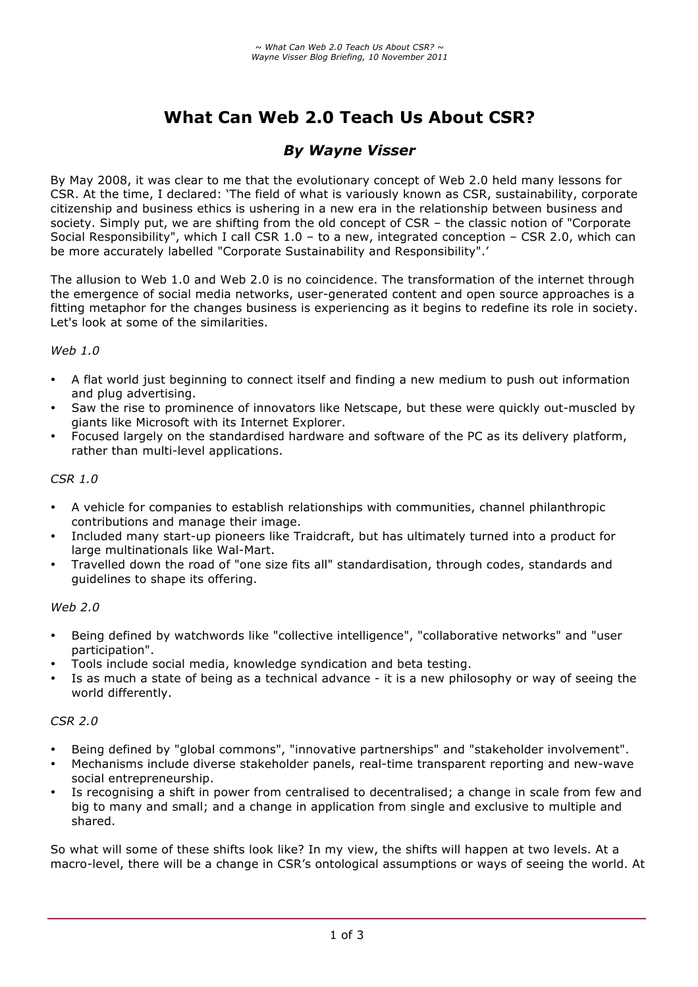# **What Can Web 2.0 Teach Us About CSR?**

# *By Wayne Visser*

By May 2008, it was clear to me that the evolutionary concept of Web 2.0 held many lessons for CSR. At the time, I declared: 'The field of what is variously known as CSR, sustainability, corporate citizenship and business ethics is ushering in a new era in the relationship between business and society. Simply put, we are shifting from the old concept of CSR – the classic notion of "Corporate Social Responsibility", which I call CSR 1.0 – to a new, integrated conception – CSR 2.0, which can be more accurately labelled "Corporate Sustainability and Responsibility".'

The allusion to Web 1.0 and Web 2.0 is no coincidence. The transformation of the internet through the emergence of social media networks, user-generated content and open source approaches is a fitting metaphor for the changes business is experiencing as it begins to redefine its role in society. Let's look at some of the similarities.

#### *Web 1.0*

- A flat world just beginning to connect itself and finding a new medium to push out information and plug advertising.
- Saw the rise to prominence of innovators like Netscape, but these were quickly out-muscled by giants like Microsoft with its Internet Explorer.
- Focused largely on the standardised hardware and software of the PC as its delivery platform, rather than multi-level applications.

#### *CSR 1.0*

- A vehicle for companies to establish relationships with communities, channel philanthropic contributions and manage their image.
- Included many start-up pioneers like Traidcraft, but has ultimately turned into a product for large multinationals like Wal-Mart.
- Travelled down the road of "one size fits all" standardisation, through codes, standards and guidelines to shape its offering.

#### *Web 2.0*

- Being defined by watchwords like "collective intelligence", "collaborative networks" and "user participation".
- Tools include social media, knowledge syndication and beta testing.
- Is as much a state of being as a technical advance it is a new philosophy or way of seeing the world differently.

#### *CSR 2.0*

- Being defined by "global commons", "innovative partnerships" and "stakeholder involvement".
- Mechanisms include diverse stakeholder panels, real-time transparent reporting and new-wave social entrepreneurship.
- Is recognising a shift in power from centralised to decentralised; a change in scale from few and big to many and small; and a change in application from single and exclusive to multiple and shared.

So what will some of these shifts look like? In my view, the shifts will happen at two levels. At a macro-level, there will be a change in CSR's ontological assumptions or ways of seeing the world. At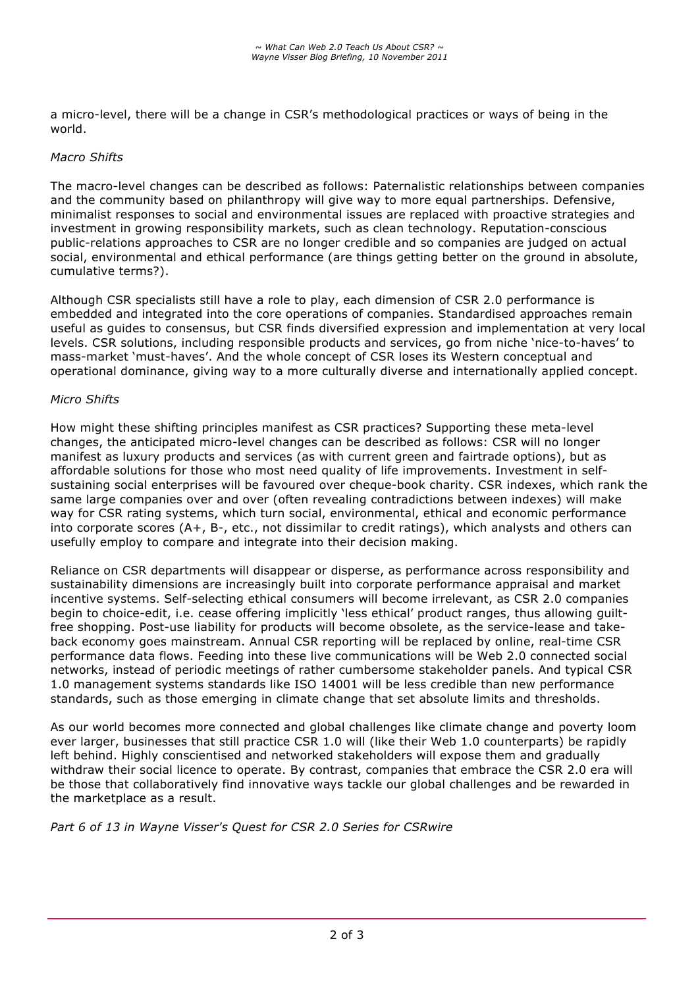a micro-level, there will be a change in CSR's methodological practices or ways of being in the world.

### *Macro Shifts*

The macro-level changes can be described as follows: Paternalistic relationships between companies and the community based on philanthropy will give way to more equal partnerships. Defensive, minimalist responses to social and environmental issues are replaced with proactive strategies and investment in growing responsibility markets, such as clean technology. Reputation-conscious public-relations approaches to CSR are no longer credible and so companies are judged on actual social, environmental and ethical performance (are things getting better on the ground in absolute, cumulative terms?).

Although CSR specialists still have a role to play, each dimension of CSR 2.0 performance is embedded and integrated into the core operations of companies. Standardised approaches remain useful as guides to consensus, but CSR finds diversified expression and implementation at very local levels. CSR solutions, including responsible products and services, go from niche 'nice-to-haves' to mass-market 'must-haves'. And the whole concept of CSR loses its Western conceptual and operational dominance, giving way to a more culturally diverse and internationally applied concept.

#### *Micro Shifts*

How might these shifting principles manifest as CSR practices? Supporting these meta-level changes, the anticipated micro-level changes can be described as follows: CSR will no longer manifest as luxury products and services (as with current green and fairtrade options), but as affordable solutions for those who most need quality of life improvements. Investment in selfsustaining social enterprises will be favoured over cheque-book charity. CSR indexes, which rank the same large companies over and over (often revealing contradictions between indexes) will make way for CSR rating systems, which turn social, environmental, ethical and economic performance into corporate scores (A+, B-, etc., not dissimilar to credit ratings), which analysts and others can usefully employ to compare and integrate into their decision making.

Reliance on CSR departments will disappear or disperse, as performance across responsibility and sustainability dimensions are increasingly built into corporate performance appraisal and market incentive systems. Self-selecting ethical consumers will become irrelevant, as CSR 2.0 companies begin to choice-edit, i.e. cease offering implicitly 'less ethical' product ranges, thus allowing guiltfree shopping. Post-use liability for products will become obsolete, as the service-lease and takeback economy goes mainstream. Annual CSR reporting will be replaced by online, real-time CSR performance data flows. Feeding into these live communications will be Web 2.0 connected social networks, instead of periodic meetings of rather cumbersome stakeholder panels. And typical CSR 1.0 management systems standards like ISO 14001 will be less credible than new performance standards, such as those emerging in climate change that set absolute limits and thresholds.

As our world becomes more connected and global challenges like climate change and poverty loom ever larger, businesses that still practice CSR 1.0 will (like their Web 1.0 counterparts) be rapidly left behind. Highly conscientised and networked stakeholders will expose them and gradually withdraw their social licence to operate. By contrast, companies that embrace the CSR 2.0 era will be those that collaboratively find innovative ways tackle our global challenges and be rewarded in the marketplace as a result.

*Part 6 of 13 in Wayne Visser's Quest for CSR 2.0 Series for CSRwire*